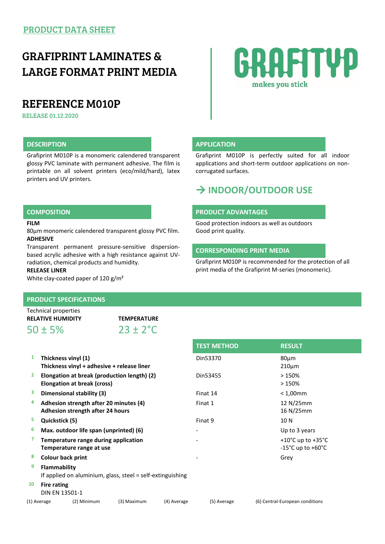## GRAFIPRINT LAMINATES & LARGE FORMAT PRINT MEDIA

## REFERENCE M010P

RELEASE 01.12.2020

### **DESCRIPTION APPLICATION**

Grafiprint M010P is a monomeric calendered transparent glossy PVC laminate with permanent adhesive. The film is printable on all solvent printers (eco/mild/hard), latex printers and UV printers.

#### **FILM**

80µm monomeric calendered transparent glossy PVC film. **ADHESIVE**

Transparent permanent pressure-sensitive dispersionbased acrylic adhesive with a high resistance against UVradiation, chemical products and humidity.

#### **RELEASE LINER**

White clay-coated paper of 120 g/m<sup>2</sup>

### **PRODUCT SPECIFICATIONS**

| Technical properties     |                      |
|--------------------------|----------------------|
| <b>RELATIVE HUMIDITY</b> | <b>TEMPERATURE</b>   |
| $50 \pm 5\%$             | $23 \pm 2^{\circ}$ C |

| 1  | Thickness vinyl (1)<br>Thickness vinyl + adhesive + release liner          |             |             | Din53370    | $80 \mu m$<br>$210 \mu m$                                                        |  |
|----|----------------------------------------------------------------------------|-------------|-------------|-------------|----------------------------------------------------------------------------------|--|
| 2  | Elongation at break (production length) (2)<br>Elongation at break (cross) |             |             | Din53455    | >150%<br>>150%                                                                   |  |
| 3  | Dimensional stability (3)                                                  |             |             | Finat 14    | $< 1,00$ mm                                                                      |  |
| 4  | Adhesion strength after 20 minutes (4)<br>Adhesion strength after 24 hours |             |             | Finat 1     | 12 N/25mm<br>16 N/25mm                                                           |  |
| 5  | Quickstick (5)                                                             |             |             | Finat 9     | 10 N                                                                             |  |
| 6  | Max. outdoor life span (unprinted) (6)                                     |             |             |             | Up to 3 years                                                                    |  |
|    | Temperature range during application<br>Temperature range at use           |             |             |             | +10 $^{\circ}$ C up to +35 $^{\circ}$ C<br>$-15^{\circ}$ C up to $+60^{\circ}$ C |  |
| 8  | <b>Colour back print</b>                                                   |             |             |             | Grey                                                                             |  |
| 9  | Flammability<br>If applied on aluminium, glass, steel = self-extinguishing |             |             |             |                                                                                  |  |
| 10 | Fire rating<br>DIN EN 13501-1                                              |             |             |             |                                                                                  |  |
|    | (2) Minimum<br>(1) Average                                                 | (3) Maximum | (4) Average | (5) Average | (6) Central-European conditions                                                  |  |

# GRAFITYP makes you stick

Grafiprint M010P is perfectly suited for all indoor applications and short-term outdoor applications on noncorrugated surfaces.

## **INDOOR/OUTDOOR USE**

#### **COMPOSITION PRODUCT ADVANTAGES**

Good protection indoors as well as outdoors

### **CORRESPONDING PRINT MEDIA**

Grafiprint M010P is recommended for the protection of all print media of the Grafiprint M-series (monomeric).

Good print quality.

|                                                    | <b>TEST METHOD</b> | <b>RESULT</b>                       |
|----------------------------------------------------|--------------------|-------------------------------------|
| yl (1)<br>yl + adhesive + release liner            | Din53370           | 80um<br>$210 \mu m$                 |
| : break (production length) (2)<br>: break (cross) | Din53455           | >150%<br>>150%                      |
| stability (3)                                      | Finat 14           | $< 1,00$ mm                         |
| ength after 20 minutes (4)<br>ength after 24 hours | Finat 1            | 12 N/25mm<br>16 N/25mm              |
|                                                    | Finat 9            | 10N                                 |
| r life span (unprinted) (6)                        |                    | Up to 3 years                       |
|                                                    |                    | $\overline{1000}$ $\overline{1000}$ |